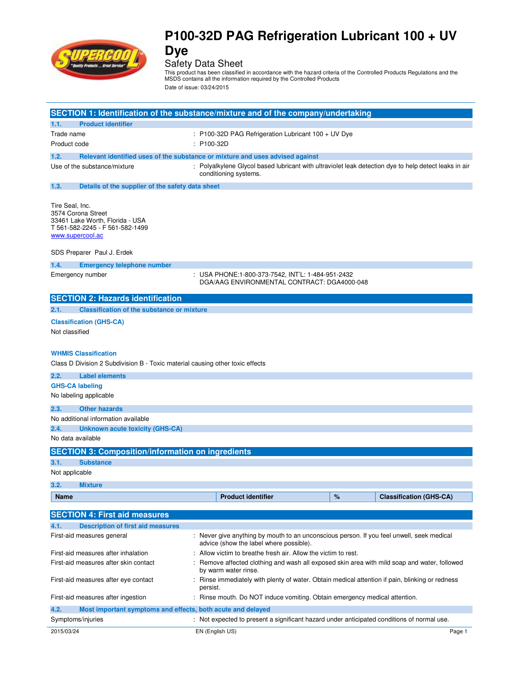

<code>Safety Data Sheet</code><br>This product has been classified in accordance with the hazard criteria of the Controlled Products Regulations and the<br>MSDS contains all the information required by the Controlled Products

Date of issue: 03/24/2015

|                                       |                                                                                                                  |                                                                                                           | SECTION 1: Identification of the substance/mixture and of the company/undertaking                                              |   |                                |
|---------------------------------------|------------------------------------------------------------------------------------------------------------------|-----------------------------------------------------------------------------------------------------------|--------------------------------------------------------------------------------------------------------------------------------|---|--------------------------------|
| 1.1.                                  | <b>Product identifier</b>                                                                                        |                                                                                                           |                                                                                                                                |   |                                |
| Trade name                            |                                                                                                                  |                                                                                                           | : P100-32D PAG Refrigeration Lubricant 100 + UV Dye                                                                            |   |                                |
| Product code                          |                                                                                                                  | : P100-32D                                                                                                |                                                                                                                                |   |                                |
| 1.2.                                  | Relevant identified uses of the substance or mixture and uses advised against                                    |                                                                                                           |                                                                                                                                |   |                                |
|                                       | Use of the substance/mixture                                                                                     |                                                                                                           | : Polyalkylene Glycol based lubricant with ultraviolet leak detection dye to help detect leaks in air<br>conditioning systems. |   |                                |
| 1.3.                                  | Details of the supplier of the safety data sheet                                                                 |                                                                                                           |                                                                                                                                |   |                                |
| Tire Seal, Inc.<br>www.supercool.ac   | 3574 Corona Street<br>33461 Lake Worth, Florida - USA<br>T 561-582-2245 - F 561-582-1499                         |                                                                                                           |                                                                                                                                |   |                                |
|                                       | SDS Preparer Paul J. Erdek                                                                                       |                                                                                                           |                                                                                                                                |   |                                |
| 1.4.                                  | <b>Emergency telephone number</b>                                                                                |                                                                                                           |                                                                                                                                |   |                                |
|                                       | Emergency number                                                                                                 |                                                                                                           | USA PHONE:1-800-373-7542, INT'L: 1-484-951-2432<br>DGA/AAG ENVIRONMENTAL CONTRACT: DGA4000-048                                 |   |                                |
|                                       | <b>SECTION 2: Hazards identification</b>                                                                         |                                                                                                           |                                                                                                                                |   |                                |
| 2.1.                                  | <b>Classification of the substance or mixture</b>                                                                |                                                                                                           |                                                                                                                                |   |                                |
|                                       | <b>Classification (GHS-CA)</b>                                                                                   |                                                                                                           |                                                                                                                                |   |                                |
| Not classified                        |                                                                                                                  |                                                                                                           |                                                                                                                                |   |                                |
|                                       |                                                                                                                  |                                                                                                           |                                                                                                                                |   |                                |
|                                       | <b>WHMIS Classification</b><br>Class D Division 2 Subdivision B - Toxic material causing other toxic effects     |                                                                                                           |                                                                                                                                |   |                                |
| 2.2.                                  | <b>Label elements</b>                                                                                            |                                                                                                           |                                                                                                                                |   |                                |
| <b>GHS-CA labeling</b>                |                                                                                                                  |                                                                                                           |                                                                                                                                |   |                                |
|                                       | No labeling applicable                                                                                           |                                                                                                           |                                                                                                                                |   |                                |
| 2.3.                                  | <b>Other hazards</b>                                                                                             |                                                                                                           |                                                                                                                                |   |                                |
|                                       | No additional information available                                                                              |                                                                                                           |                                                                                                                                |   |                                |
| 2.4.                                  | <b>Unknown acute toxicity (GHS-CA)</b>                                                                           |                                                                                                           |                                                                                                                                |   |                                |
| No data available                     |                                                                                                                  |                                                                                                           |                                                                                                                                |   |                                |
|                                       | <b>SECTION 3: Composition/information on ingredients</b>                                                         |                                                                                                           |                                                                                                                                |   |                                |
| 3.1.                                  | <b>Substance</b>                                                                                                 |                                                                                                           |                                                                                                                                |   |                                |
| Not applicable                        |                                                                                                                  |                                                                                                           |                                                                                                                                |   |                                |
| 3.2.                                  | <b>Mixture</b>                                                                                                   |                                                                                                           |                                                                                                                                |   |                                |
| <b>Name</b>                           |                                                                                                                  |                                                                                                           | <b>Product identifier</b>                                                                                                      | % | <b>Classification (GHS-CA)</b> |
|                                       |                                                                                                                  |                                                                                                           |                                                                                                                                |   |                                |
|                                       | <b>SECTION 4: First aid measures</b>                                                                             |                                                                                                           |                                                                                                                                |   |                                |
| 4.1.                                  | <b>Description of first aid measures</b><br>First-aid measures general                                           |                                                                                                           | : Never give anything by mouth to an unconscious person. If you feel unwell, seek medical                                      |   |                                |
|                                       |                                                                                                                  |                                                                                                           | advice (show the label where possible).                                                                                        |   |                                |
|                                       | First-aid measures after inhalation                                                                              |                                                                                                           | : Allow victim to breathe fresh air. Allow the victim to rest.                                                                 |   |                                |
| First-aid measures after skin contact |                                                                                                                  |                                                                                                           | Remove affected clothing and wash all exposed skin area with mild soap and water, followed<br>by warm water rinse.             |   |                                |
| First-aid measures after eye contact  |                                                                                                                  | Rinse immediately with plenty of water. Obtain medical attention if pain, blinking or redness<br>persist. |                                                                                                                                |   |                                |
|                                       | : Rinse mouth. Do NOT induce vomiting. Obtain emergency medical attention.<br>First-aid measures after ingestion |                                                                                                           |                                                                                                                                |   |                                |
| 4.2.                                  | Most important symptoms and effects, both acute and delayed                                                      |                                                                                                           |                                                                                                                                |   |                                |
|                                       | Symptoms/injuries                                                                                                |                                                                                                           | : Not expected to present a significant hazard under anticipated conditions of normal use.                                     |   |                                |
| 2015/03/24                            |                                                                                                                  |                                                                                                           | EN (English US)                                                                                                                |   | Page 1                         |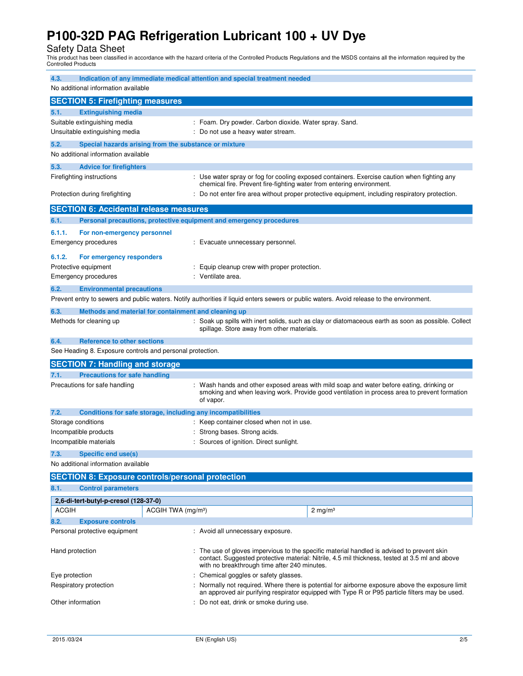Safety Data Sheet This product has been classified in accordance with the hazard criteria of the Controlled Products Regulations and the MSDS contains all the information required by the Controlled Products

| 4.3.                           |                                                                     | Indication of any immediate medical attention and special treatment needed                                                                                                                                                                   |
|--------------------------------|---------------------------------------------------------------------|----------------------------------------------------------------------------------------------------------------------------------------------------------------------------------------------------------------------------------------------|
|                                | No additional information available                                 |                                                                                                                                                                                                                                              |
|                                | <b>SECTION 5: Firefighting measures</b>                             |                                                                                                                                                                                                                                              |
| 5.1.                           | <b>Extinguishing media</b>                                          |                                                                                                                                                                                                                                              |
| Suitable extinguishing media   |                                                                     | : Foam. Dry powder. Carbon dioxide. Water spray. Sand.                                                                                                                                                                                       |
| Unsuitable extinguishing media |                                                                     | Do not use a heavy water stream.                                                                                                                                                                                                             |
| 5.2.                           | Special hazards arising from the substance or mixture               |                                                                                                                                                                                                                                              |
|                                | No additional information available                                 |                                                                                                                                                                                                                                              |
| 5.3.                           | <b>Advice for firefighters</b>                                      |                                                                                                                                                                                                                                              |
|                                | Firefighting instructions                                           | : Use water spray or fog for cooling exposed containers. Exercise caution when fighting any<br>chemical fire. Prevent fire-fighting water from entering environment.                                                                         |
|                                | Protection during firefighting                                      | : Do not enter fire area without proper protective equipment, including respiratory protection.                                                                                                                                              |
|                                | <b>SECTION 6: Accidental release measures</b>                       |                                                                                                                                                                                                                                              |
| 6.1.                           | Personal precautions, protective equipment and emergency procedures |                                                                                                                                                                                                                                              |
| 6.1.1.                         | For non-emergency personnel                                         |                                                                                                                                                                                                                                              |
|                                | <b>Emergency procedures</b>                                         | : Evacuate unnecessary personnel.                                                                                                                                                                                                            |
| 6.1.2.                         | For emergency responders                                            |                                                                                                                                                                                                                                              |
|                                | Protective equipment                                                | Equip cleanup crew with proper protection.                                                                                                                                                                                                   |
|                                | <b>Emergency procedures</b>                                         | : Ventilate area.                                                                                                                                                                                                                            |
| 6.2.                           | <b>Environmental precautions</b>                                    |                                                                                                                                                                                                                                              |
|                                |                                                                     | Prevent entry to sewers and public waters. Notify authorities if liquid enters sewers or public waters. Avoid release to the environment.                                                                                                    |
| 6.3.                           | Methods and material for containment and cleaning up                |                                                                                                                                                                                                                                              |
|                                | Methods for cleaning up                                             | : Soak up spills with inert solids, such as clay or diatomaceous earth as soon as possible. Collect<br>spillage. Store away from other materials.                                                                                            |
| 6.4.                           | <b>Reference to other sections</b>                                  |                                                                                                                                                                                                                                              |
|                                | See Heading 8. Exposure controls and personal protection.           |                                                                                                                                                                                                                                              |
|                                | <b>SECTION 7: Handling and storage</b>                              |                                                                                                                                                                                                                                              |
| 7.1.                           | <b>Precautions for safe handling</b>                                |                                                                                                                                                                                                                                              |
|                                | Precautions for safe handling                                       | Wash hands and other exposed areas with mild soap and water before eating, drinking or<br>smoking and when leaving work. Provide good ventilation in process area to prevent formation<br>of vapor.                                          |
| 7.2.                           | Conditions for safe storage, including any incompatibilities        |                                                                                                                                                                                                                                              |
|                                | Storage conditions                                                  | : Keep container closed when not in use.                                                                                                                                                                                                     |
|                                | Incompatible products                                               | Strong bases. Strong acids.                                                                                                                                                                                                                  |
|                                | Incompatible materials                                              | Sources of ignition. Direct sunlight.                                                                                                                                                                                                        |
| 7.3.                           | <b>Specific end use(s)</b>                                          |                                                                                                                                                                                                                                              |
|                                | No additional information available                                 |                                                                                                                                                                                                                                              |
|                                | <b>SECTION 8: Exposure controls/personal protection</b>             |                                                                                                                                                                                                                                              |
| 8.1.                           | <b>Control parameters</b>                                           |                                                                                                                                                                                                                                              |
|                                | 2,6-di-tert-butyl-p-cresol (128-37-0)                               |                                                                                                                                                                                                                                              |
| <b>ACGIH</b>                   | ACGIH TWA (mg/m <sup>3</sup> )                                      | $2 \text{ mg/m}^3$                                                                                                                                                                                                                           |
| 8.2.                           | <b>Exposure controls</b>                                            |                                                                                                                                                                                                                                              |
|                                | Personal protective equipment                                       | : Avoid all unnecessary exposure.                                                                                                                                                                                                            |
| Hand protection                |                                                                     | : The use of gloves impervious to the specific material handled is advised to prevent skin<br>contact. Suggested protective material: Nitrile, 4.5 mil thickness, tested at 3.5 ml and above<br>with no breakthrough time after 240 minutes. |
| Eye protection                 |                                                                     | Chemical goggles or safety glasses.                                                                                                                                                                                                          |
|                                | Respiratory protection                                              | Normally not required. Where there is potential for airborne exposure above the exposure limit<br>an approved air purifying respirator equipped with Type R or P95 particle filters may be used.                                             |
| Other information              |                                                                     | : Do not eat, drink or smoke during use.                                                                                                                                                                                                     |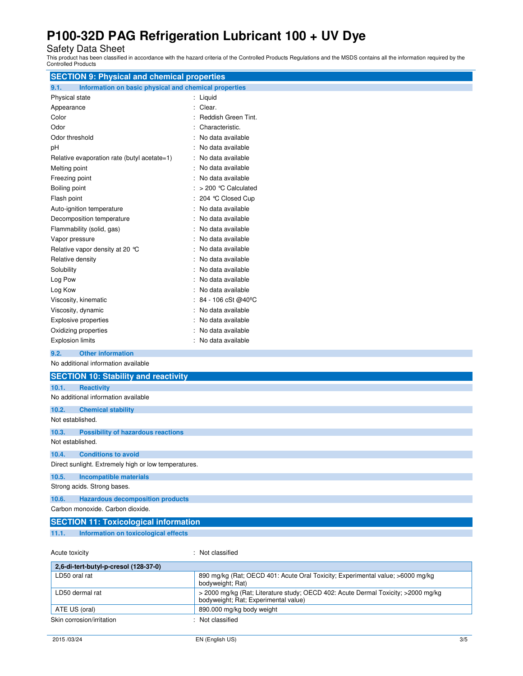Safety Data Sheet This product has been classified in accordance with the hazard criteria of the Controlled Products Regulations and the MSDS contains all the information required by the Controlled Products

| <b>SECTION 9: Physical and chemical properties</b>            |                        |  |  |
|---------------------------------------------------------------|------------------------|--|--|
| 9.1.<br>Information on basic physical and chemical properties |                        |  |  |
| Physical state                                                | : Liquid               |  |  |
| Appearance                                                    | Clear.<br>÷            |  |  |
| Color                                                         | Reddish Green Tint.    |  |  |
| Odor                                                          | Characteristic.        |  |  |
| Odor threshold                                                | No data available      |  |  |
| рH                                                            | No data available      |  |  |
| Relative evaporation rate (butyl acetate=1)                   | No data available      |  |  |
| Melting point                                                 | ÷<br>No data available |  |  |
| Freezing point                                                | No data available<br>÷ |  |  |
| Boiling point                                                 | > 200 ℃ Calculated     |  |  |
| Flash point                                                   | 204 °C Closed Cup      |  |  |
| Auto-ignition temperature                                     | No data available      |  |  |
| Decomposition temperature                                     | No data available      |  |  |
| Flammability (solid, gas)                                     | No data available      |  |  |
| Vapor pressure                                                | No data available      |  |  |
| Relative vapor density at 20 °C                               | No data available      |  |  |
| Relative density                                              | No data available      |  |  |
| Solubility                                                    | No data available      |  |  |
| Log Pow                                                       | No data available      |  |  |
| Log Kow                                                       | No data available      |  |  |
| Viscosity, kinematic                                          | 84 - 106 cSt @40°C     |  |  |
| Viscosity, dynamic                                            | No data available      |  |  |
| <b>Explosive properties</b>                                   | No data available      |  |  |
| Oxidizing properties                                          | No data available      |  |  |
| <b>Explosion limits</b>                                       | No data available      |  |  |
| 9.2.<br><b>Other information</b>                              |                        |  |  |
| No additional information available                           |                        |  |  |
| <b>SECTION 10: Stability and reactivity</b>                   |                        |  |  |
| 10.1.<br><b>Reactivity</b>                                    |                        |  |  |
| No additional information available                           |                        |  |  |
| 10.2.<br><b>Chemical stability</b>                            |                        |  |  |
| Not established.                                              |                        |  |  |
| 10.3.<br><b>Possibility of hazardous reactions</b>            |                        |  |  |
| Not established.                                              |                        |  |  |
| 10.4.<br><b>Conditions to avoid</b>                           |                        |  |  |
| Direct sunlight. Extremely high or low temperatures.          |                        |  |  |
| 10.5.<br><b>Incompatible materials</b>                        |                        |  |  |
| Strong acids. Strong bases.                                   |                        |  |  |

## **10.6. Hazardous decomposition products**

Carbon monoxide. Carbon dioxide.

## **SECTION 11: Toxicological information**

**11.1. Information on toxicological effects** 

Acute toxicity : Not classified

| 2.6-di-tert-butyl-p-cresol (128-37-0) |                                                                                                                           |  |  |
|---------------------------------------|---------------------------------------------------------------------------------------------------------------------------|--|--|
| LD50 oral rat                         | 890 mg/kg (Rat; OECD 401: Acute Oral Toxicity; Experimental value; >6000 mg/kg<br>bodyweight; Rat)                        |  |  |
| LD50 dermal rat                       | > 2000 mg/kg (Rat; Literature study; OECD 402: Acute Dermal Toxicity; >2000 mg/kg<br>bodyweight; Rat; Experimental value) |  |  |
| ATE US (oral)                         | 890.000 mg/kg body weight                                                                                                 |  |  |
| Skin corrosion/irritation             | Not classified                                                                                                            |  |  |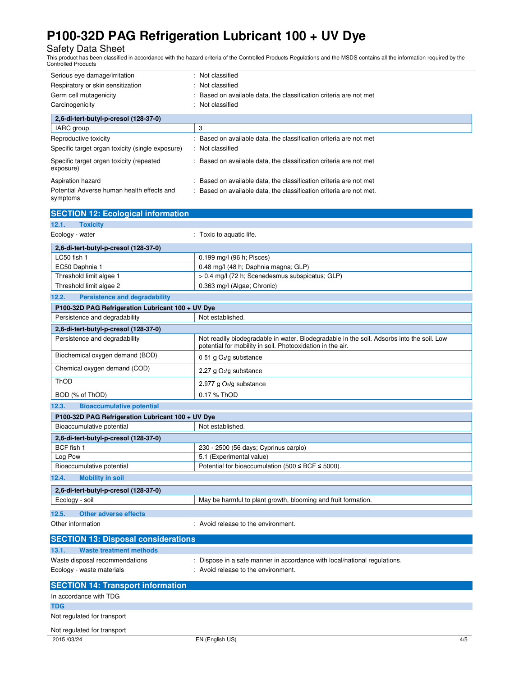Safety Data Sheet This product has been classified in accordance with the hazard criteria of the Controlled Products Regulations and the MSDS contains all the information required by the Controlled Products

| Serious eye damage/irritation<br>Respiratory or skin sensitization<br>Germ cell mutagenicity<br>Carcinogenicity |  | : Not classified<br>: Not classified<br>: Based on available data, the classification criteria are not met<br>: Not classified |  |  |
|-----------------------------------------------------------------------------------------------------------------|--|--------------------------------------------------------------------------------------------------------------------------------|--|--|
| 2.6-di-tert-butyl-p-cresol (128-37-0)                                                                           |  |                                                                                                                                |  |  |
| IARC group                                                                                                      |  | 3                                                                                                                              |  |  |
| Reproductive toxicity                                                                                           |  | : Based on available data, the classification criteria are not met                                                             |  |  |
| Specific target organ toxicity (single exposure)                                                                |  | : Not classified                                                                                                               |  |  |
| Specific target organ toxicity (repeated<br>exposure)                                                           |  | : Based on available data, the classification criteria are not met                                                             |  |  |
| Aspiration hazard                                                                                               |  | Based on available data, the classification criteria are not met                                                               |  |  |
| Potential Adverse human health effects and<br>symptoms                                                          |  | : Based on available data, the classification criteria are not met.                                                            |  |  |

| <b>SECTION 12: Ecological information</b>         |                                                                                                                                                         |  |  |  |  |
|---------------------------------------------------|---------------------------------------------------------------------------------------------------------------------------------------------------------|--|--|--|--|
| <b>Toxicity</b><br>12.1.                          |                                                                                                                                                         |  |  |  |  |
| Ecology - water                                   | : Toxic to aquatic life.                                                                                                                                |  |  |  |  |
| 2,6-di-tert-butyl-p-cresol (128-37-0)             |                                                                                                                                                         |  |  |  |  |
| LC50 fish 1                                       | 0.199 mg/l (96 h; Pisces)                                                                                                                               |  |  |  |  |
| EC50 Daphnia 1                                    | 0.48 mg/l (48 h; Daphnia magna; GLP)                                                                                                                    |  |  |  |  |
| Threshold limit algae 1                           | > 0.4 mg/l (72 h; Scenedesmus subspicatus; GLP)                                                                                                         |  |  |  |  |
| Threshold limit algae 2                           | 0.363 mg/l (Algae; Chronic)                                                                                                                             |  |  |  |  |
| <b>Persistence and degradability</b><br>12.2.     |                                                                                                                                                         |  |  |  |  |
| P100-32D PAG Refrigeration Lubricant 100 + UV Dye |                                                                                                                                                         |  |  |  |  |
| Persistence and degradability                     | Not established.                                                                                                                                        |  |  |  |  |
| 2,6-di-tert-butyl-p-cresol (128-37-0)             |                                                                                                                                                         |  |  |  |  |
| Persistence and degradability                     | Not readily biodegradable in water. Biodegradable in the soil. Adsorbs into the soil. Low<br>potential for mobility in soil. Photooxidation in the air. |  |  |  |  |
| Biochemical oxygen demand (BOD)                   | 0.51 g O <sub>2</sub> /g substance                                                                                                                      |  |  |  |  |
| Chemical oxygen demand (COD)                      | 2.27 g O2/g substance                                                                                                                                   |  |  |  |  |
| ThOD                                              | 2.977 g O <sub>2</sub> /g substance                                                                                                                     |  |  |  |  |
| BOD (% of ThOD)                                   | 0.17 % ThOD                                                                                                                                             |  |  |  |  |
| <b>Bioaccumulative potential</b><br>12.3.         |                                                                                                                                                         |  |  |  |  |
| P100-32D PAG Refrigeration Lubricant 100 + UV Dye |                                                                                                                                                         |  |  |  |  |
| Bioaccumulative potential                         | Not established.                                                                                                                                        |  |  |  |  |
| 2,6-di-tert-butyl-p-cresol (128-37-0)             |                                                                                                                                                         |  |  |  |  |
| BCF fish 1                                        | 230 - 2500 (56 days; Cyprinus carpio)                                                                                                                   |  |  |  |  |
| Log Pow                                           | 5.1 (Experimental value)                                                                                                                                |  |  |  |  |
| Bioaccumulative potential                         | Potential for bioaccumulation (500 $\leq$ BCF $\leq$ 5000).                                                                                             |  |  |  |  |
| 12.4.<br><b>Mobility in soil</b>                  |                                                                                                                                                         |  |  |  |  |
| 2,6-di-tert-butyl-p-cresol (128-37-0)             |                                                                                                                                                         |  |  |  |  |
| Ecology - soil                                    | May be harmful to plant growth, blooming and fruit formation.                                                                                           |  |  |  |  |
| 12.5.<br><b>Other adverse effects</b>             |                                                                                                                                                         |  |  |  |  |
| Other information                                 | : Avoid release to the environment.                                                                                                                     |  |  |  |  |
| <b>SECTION 13: Disposal considerations</b>        |                                                                                                                                                         |  |  |  |  |
| 13.1.<br><b>Waste treatment methods</b>           |                                                                                                                                                         |  |  |  |  |
| Waste disposal recommendations                    | : Dispose in a safe manner in accordance with local/national regulations.                                                                               |  |  |  |  |
| Ecology - waste materials                         | : Avoid release to the environment.                                                                                                                     |  |  |  |  |
| <b>SECTION 14: Transport information</b>          |                                                                                                                                                         |  |  |  |  |
| In accordance with TDG                            |                                                                                                                                                         |  |  |  |  |
| <b>TDG</b>                                        |                                                                                                                                                         |  |  |  |  |
| Not regulated for transport                       |                                                                                                                                                         |  |  |  |  |